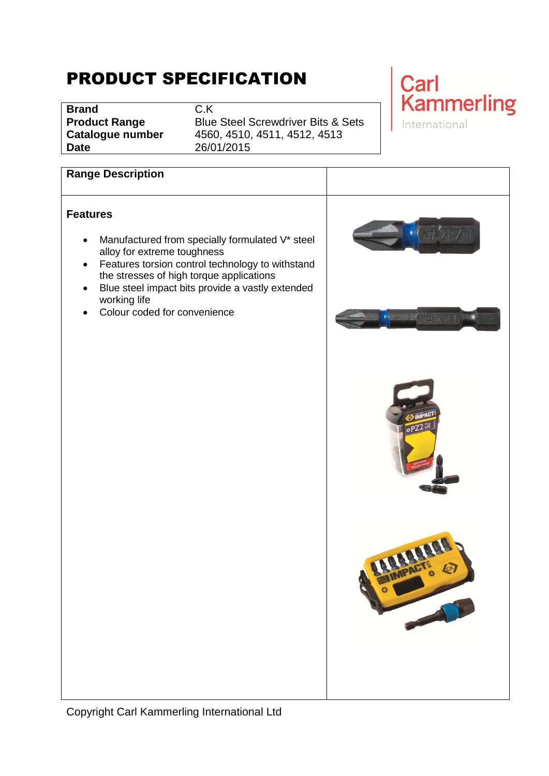# PRODUCT SPECIFICATION

**Brand** C.K **Date** 26/01/2015

**Product Range** Blue Steel Screwdriver Bits & Sets **Catalogue number** 4560, 4510, 4511, 4512, 4513

## Carl **Kammerling** International

#### **Range Description**

#### **Features**

- Manufactured from specially formulated V\* steel alloy for extreme toughness
- Features torsion control technology to withstand the stresses of high torque applications
- Blue steel impact bits provide a vastly extended working life
- Colour coded for convenience

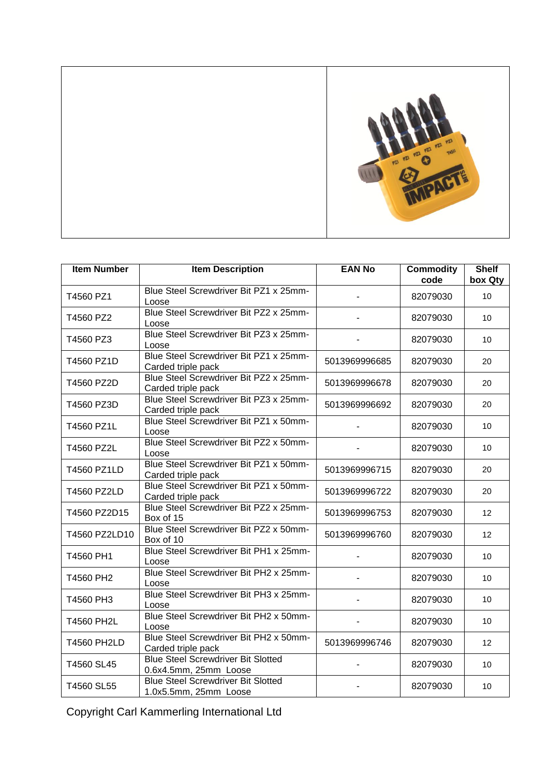

| <b>Item Number</b> | <b>Item Description</b>                                            | <b>EAN No</b>  | <b>Commodity</b><br>code | <b>Shelf</b><br>box Qty |
|--------------------|--------------------------------------------------------------------|----------------|--------------------------|-------------------------|
| T4560 PZ1          | Blue Steel Screwdriver Bit PZ1 x 25mm-<br>Loose                    |                | 82079030                 | 10                      |
| T4560 PZ2          | Blue Steel Screwdriver Bit PZ2 x 25mm-<br>Loose                    |                | 82079030                 | 10                      |
| T4560 PZ3          | Blue Steel Screwdriver Bit PZ3 x 25mm-<br>Loose                    |                | 82079030                 | 10                      |
| T4560 PZ1D         | Blue Steel Screwdriver Bit PZ1 x 25mm-<br>Carded triple pack       | 5013969996685  | 82079030                 | 20                      |
| T4560 PZ2D         | Blue Steel Screwdriver Bit PZ2 x 25mm-<br>Carded triple pack       | 5013969996678  | 82079030                 | 20                      |
| T4560 PZ3D         | Blue Steel Screwdriver Bit PZ3 x 25mm-<br>Carded triple pack       | 5013969996692  | 82079030                 | 20                      |
| T4560 PZ1L         | Blue Steel Screwdriver Bit PZ1 x 50mm-<br>Loose                    | $\frac{1}{2}$  | 82079030                 | 10                      |
| T4560 PZ2L         | Blue Steel Screwdriver Bit PZ2 x 50mm-<br>Loose                    |                | 82079030                 | 10                      |
| T4560 PZ1LD        | Blue Steel Screwdriver Bit PZ1 x 50mm-<br>Carded triple pack       | 5013969996715  | 82079030                 | 20                      |
| T4560 PZ2LD        | Blue Steel Screwdriver Bit PZ1 x 50mm-<br>Carded triple pack       | 5013969996722  | 82079030                 | 20                      |
| T4560 PZ2D15       | Blue Steel Screwdriver Bit PZ2 x 25mm-<br>Box of 15                | 5013969996753  | 82079030                 | 12                      |
| T4560 PZ2LD10      | Blue Steel Screwdriver Bit PZ2 x 50mm-<br>Box of 10                | 5013969996760  | 82079030                 | 12                      |
| T4560 PH1          | Blue Steel Screwdriver Bit PH1 x 25mm-<br>Loose                    |                | 82079030                 | 10                      |
| T4560 PH2          | Blue Steel Screwdriver Bit PH2 x 25mm-<br>Loose                    | $\blacksquare$ | 82079030                 | 10                      |
| T4560 PH3          | Blue Steel Screwdriver Bit PH3 x 25mm-<br>Loose                    | $\overline{a}$ | 82079030                 | 10                      |
| <b>T4560 PH2L</b>  | Blue Steel Screwdriver Bit PH2 x 50mm-<br>Loose                    | ä,             | 82079030                 | 10                      |
| <b>T4560 PH2LD</b> | Blue Steel Screwdriver Bit PH2 x 50mm-<br>Carded triple pack       | 5013969996746  | 82079030                 | 12                      |
| T4560 SL45         | <b>Blue Steel Screwdriver Bit Slotted</b><br>0.6x4.5mm, 25mm Loose | $\overline{a}$ | 82079030                 | 10                      |
| T4560 SL55         | <b>Blue Steel Screwdriver Bit Slotted</b><br>1.0x5.5mm, 25mm Loose |                | 82079030                 | 10                      |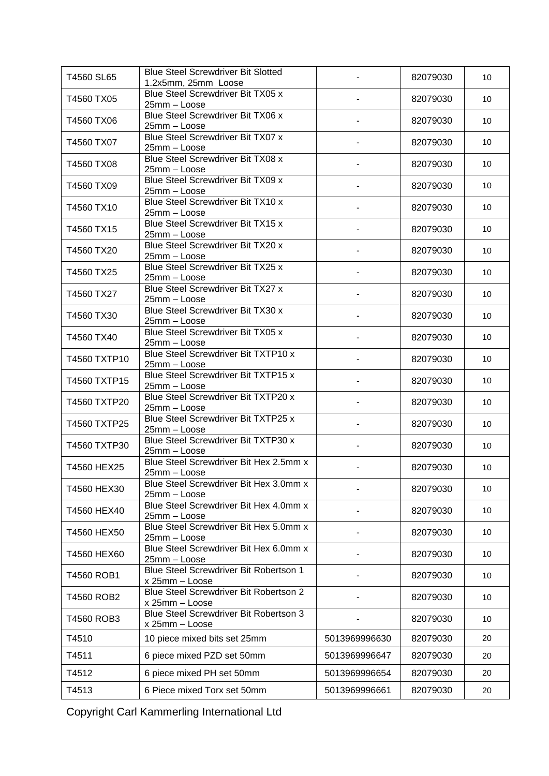| T4560 SL65   | <b>Blue Steel Screwdriver Bit Slotted</b><br>1.2x5mm, 25mm Loose |                | 82079030 | 10 |
|--------------|------------------------------------------------------------------|----------------|----------|----|
| T4560 TX05   | Blue Steel Screwdriver Bit TX05 x<br>25mm - Loose                |                | 82079030 | 10 |
| T4560 TX06   | <b>Blue Steel Screwdriver Bit TX06 x</b><br>25mm - Loose         |                | 82079030 | 10 |
| T4560 TX07   | Blue Steel Screwdriver Bit TX07 x<br>25mm - Loose                |                | 82079030 | 10 |
| T4560 TX08   | Blue Steel Screwdriver Bit TX08 x<br>25mm - Loose                |                | 82079030 | 10 |
| T4560 TX09   | Blue Steel Screwdriver Bit TX09 x<br>25mm - Loose                |                | 82079030 | 10 |
| T4560 TX10   | Blue Steel Screwdriver Bit TX10 x<br>25mm - Loose                |                | 82079030 | 10 |
| T4560 TX15   | Blue Steel Screwdriver Bit TX15 x<br>25mm - Loose                |                | 82079030 | 10 |
| T4560 TX20   | Blue Steel Screwdriver Bit TX20 x<br>25mm - Loose                |                | 82079030 | 10 |
| T4560 TX25   | <b>Blue Steel Screwdriver Bit TX25 x</b><br>25mm - Loose         |                | 82079030 | 10 |
| T4560 TX27   | Blue Steel Screwdriver Bit TX27 x<br>25mm - Loose                |                | 82079030 | 10 |
| T4560 TX30   | Blue Steel Screwdriver Bit TX30 x<br>25mm - Loose                |                | 82079030 | 10 |
| T4560 TX40   | Blue Steel Screwdriver Bit TX05 x<br>25mm - Loose                |                | 82079030 | 10 |
| T4560 TXTP10 | Blue Steel Screwdriver Bit TXTP10 x<br>25mm - Loose              |                | 82079030 | 10 |
| T4560 TXTP15 | Blue Steel Screwdriver Bit TXTP15 x<br>25mm - Loose              |                | 82079030 | 10 |
| T4560 TXTP20 | Blue Steel Screwdriver Bit TXTP20 x<br>25mm - Loose              |                | 82079030 | 10 |
| T4560 TXTP25 | Blue Steel Screwdriver Bit TXTP25 x<br>25mm - Loose              |                | 82079030 | 10 |
| T4560 TXTP30 | Blue Steel Screwdriver Bit TXTP30 x<br>25mm - Loose              | $\blacksquare$ | 82079030 | 10 |
| T4560 HEX25  | Blue Steel Screwdriver Bit Hex 2.5mm x<br>25mm - Loose           |                | 82079030 | 10 |
| T4560 HEX30  | Blue Steel Screwdriver Bit Hex 3.0mm x<br>25mm - Loose           |                | 82079030 | 10 |
| T4560 HEX40  | Blue Steel Screwdriver Bit Hex 4.0mm x<br>25mm - Loose           |                | 82079030 | 10 |
| T4560 HEX50  | Blue Steel Screwdriver Bit Hex 5.0mm x<br>25mm - Loose           |                | 82079030 | 10 |
| T4560 HEX60  | Blue Steel Screwdriver Bit Hex 6.0mm x<br>25mm - Loose           |                | 82079030 | 10 |
| T4560 ROB1   | Blue Steel Screwdriver Bit Robertson 1<br>x 25mm - Loose         |                | 82079030 | 10 |
| T4560 ROB2   | Blue Steel Screwdriver Bit Robertson 2<br>x 25mm - Loose         |                | 82079030 | 10 |
| T4560 ROB3   | Blue Steel Screwdriver Bit Robertson 3<br>x 25mm - Loose         |                | 82079030 | 10 |
| T4510        | 10 piece mixed bits set 25mm                                     | 5013969996630  | 82079030 | 20 |
| T4511        | 6 piece mixed PZD set 50mm                                       | 5013969996647  | 82079030 | 20 |
| T4512        | 6 piece mixed PH set 50mm                                        | 5013969996654  | 82079030 | 20 |
| T4513        | 6 Piece mixed Torx set 50mm                                      | 5013969996661  | 82079030 | 20 |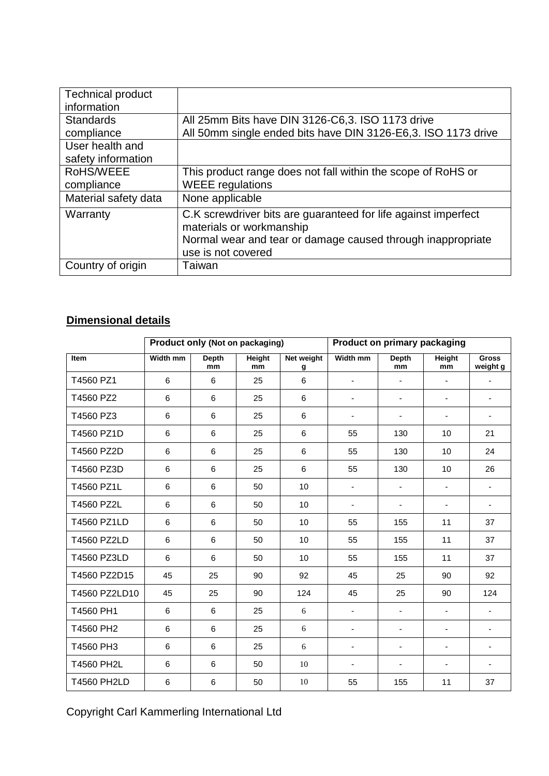| <b>Technical product</b><br>information |                                                                |
|-----------------------------------------|----------------------------------------------------------------|
| <b>Standards</b>                        | All 25mm Bits have DIN 3126-C6,3. ISO 1173 drive               |
| compliance                              | All 50mm single ended bits have DIN 3126-E6,3. ISO 1173 drive  |
| User health and                         |                                                                |
| safety information                      |                                                                |
| RoHS/WEEE                               | This product range does not fall within the scope of RoHS or   |
| compliance                              | <b>WEEE</b> regulations                                        |
| Material safety data                    | None applicable                                                |
| Warranty                                | C.K screwdriver bits are guaranteed for life against imperfect |
|                                         | materials or workmanship                                       |
|                                         | Normal wear and tear or damage caused through inappropriate    |
|                                         | use is not covered                                             |
| Country of origin                       | Taiwan                                                         |

### **Dimensional details**

|                    | Product only (Not on packaging) |                    |                     | <b>Product on primary packaging</b> |                          |                          |                          |                          |
|--------------------|---------------------------------|--------------------|---------------------|-------------------------------------|--------------------------|--------------------------|--------------------------|--------------------------|
| <b>Item</b>        | <b>Width mm</b>                 | <b>Depth</b><br>mm | <b>Height</b><br>mm | Net weight<br>g                     | Width mm                 | <b>Depth</b><br>mm       | <b>Height</b><br>mm      | <b>Gross</b><br>weight g |
| T4560 PZ1          | 6                               | 6                  | 25                  | 6                                   | $\overline{\phantom{a}}$ | $\blacksquare$           | $\overline{\phantom{a}}$ | $\overline{\phantom{a}}$ |
| T4560 PZ2          | 6                               | 6                  | 25                  | 6                                   | $\overline{\phantom{a}}$ | $\overline{\phantom{a}}$ | $\blacksquare$           | $\overline{\phantom{a}}$ |
| T4560 PZ3          | 6                               | 6                  | 25                  | 6                                   | $\overline{\phantom{a}}$ | $\overline{\phantom{a}}$ | $\overline{\phantom{a}}$ | $\overline{\phantom{a}}$ |
| T4560 PZ1D         | 6                               | 6                  | 25                  | 6                                   | 55                       | 130                      | 10                       | 21                       |
| T4560 PZ2D         | 6                               | 6                  | 25                  | 6                                   | 55                       | 130                      | 10                       | 24                       |
| T4560 PZ3D         | 6                               | 6                  | 25                  | 6                                   | 55                       | 130                      | 10                       | 26                       |
| T4560 PZ1L         | 6                               | 6                  | 50                  | 10                                  | $\overline{\phantom{a}}$ | $\overline{\phantom{a}}$ | $\blacksquare$           | $\overline{\phantom{0}}$ |
| T4560 PZ2L         | 6                               | 6                  | 50                  | 10                                  | $\overline{\phantom{a}}$ | $\overline{\phantom{a}}$ | $\blacksquare$           | $\blacksquare$           |
| T4560 PZ1LD        | 6                               | 6                  | 50                  | 10                                  | 55                       | 155                      | 11                       | 37                       |
| T4560 PZ2LD        | 6                               | $6\phantom{a}$     | 50                  | 10                                  | 55                       | 155                      | 11                       | 37                       |
| T4560 PZ3LD        | 6                               | 6                  | 50                  | 10                                  | 55                       | 155                      | 11                       | 37                       |
| T4560 PZ2D15       | 45                              | 25                 | 90                  | 92                                  | 45                       | 25                       | 90                       | 92                       |
| T4560 PZ2LD10      | 45                              | 25                 | 90                  | 124                                 | 45                       | 25                       | 90                       | 124                      |
| T4560 PH1          | 6                               | 6                  | 25                  | 6                                   | $\overline{\phantom{a}}$ | $\overline{\phantom{a}}$ | $\blacksquare$           | $\overline{\phantom{a}}$ |
| T4560 PH2          | 6                               | 6                  | 25                  | 6                                   | $\blacksquare$           | $\blacksquare$           | $\blacksquare$           | $\overline{\phantom{a}}$ |
| T4560 PH3          | 6                               | 6                  | 25                  | 6                                   | $\overline{\phantom{a}}$ | $\overline{\phantom{a}}$ | $\blacksquare$           | $\overline{\phantom{0}}$ |
| <b>T4560 PH2L</b>  | 6                               | 6                  | 50                  | 10                                  | $\overline{\phantom{a}}$ | $\overline{\phantom{a}}$ | ٠                        | $\overline{\phantom{0}}$ |
| <b>T4560 PH2LD</b> | 6                               | 6                  | 50                  | $10\,$                              | 55                       | 155                      | 11                       | 37                       |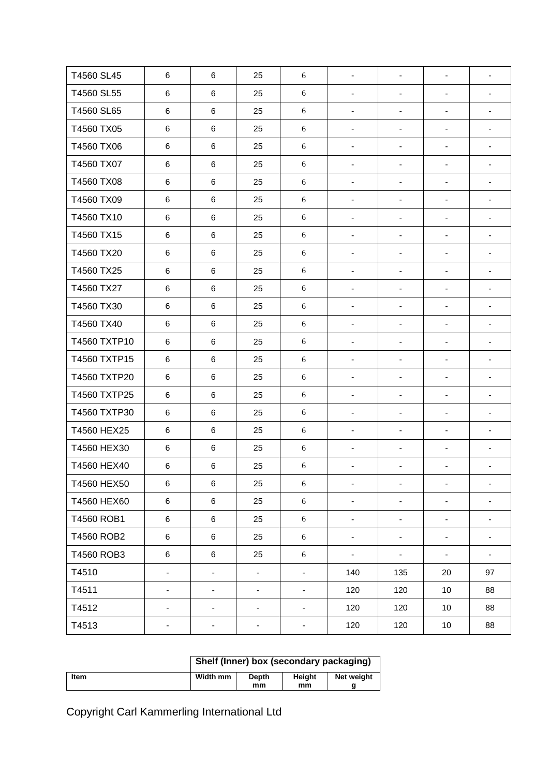| T4560 SL45   | $\,6$                    | $\,6$                    | 25             | 6                        | $\blacksquare$               | $\blacksquare$               | $\blacksquare$           | $\blacksquare$               |
|--------------|--------------------------|--------------------------|----------------|--------------------------|------------------------------|------------------------------|--------------------------|------------------------------|
| T4560 SL55   | 6                        | $\,6\,$                  | 25             | $\sqrt{6}$               | $\qquad \qquad \blacksquare$ | $\overline{\phantom{a}}$     | $\overline{\phantom{a}}$ | -                            |
| T4560 SL65   | 6                        | $\,6\,$                  | 25             | $\sqrt{6}$               | $\overline{\phantom{a}}$     | $\overline{\phantom{a}}$     | $\overline{\phantom{a}}$ | $\overline{\phantom{a}}$     |
| T4560 TX05   | 6                        | $\,6$                    | 25             | $\sqrt{6}$               | $\qquad \qquad \blacksquare$ | $\qquad \qquad \blacksquare$ | $\blacksquare$           | $\blacksquare$               |
| T4560 TX06   | 6                        | $\,6$                    | 25             | 6                        | -                            | $\overline{\phantom{0}}$     | $\overline{\phantom{a}}$ | $\overline{\phantom{a}}$     |
| T4560 TX07   | $\,6$                    | $\,6$                    | 25             | $\sqrt{6}$               | -                            | -                            | $\overline{\phantom{a}}$ | $\overline{\phantom{0}}$     |
| T4560 TX08   | 6                        | $\,6\,$                  | 25             | $\sqrt{6}$               | $\qquad \qquad \blacksquare$ | $\qquad \qquad \blacksquare$ | $\blacksquare$           | -                            |
| T4560 TX09   | 6                        | $\,6\,$                  | 25             | $\sqrt{6}$               | $\overline{\phantom{a}}$     | $\blacksquare$               | $\overline{\phantom{a}}$ | $\overline{\phantom{a}}$     |
| T4560 TX10   | 6                        | $\,6$                    | 25             | $\sqrt{6}$               | $\qquad \qquad \blacksquare$ | $\overline{\phantom{0}}$     | $\overline{\phantom{a}}$ | $\overline{\phantom{a}}$     |
| T4560 TX15   | 6                        | $\,6$                    | 25             | $\sqrt{6}$               | -                            | -                            | $\blacksquare$           | $\overline{\phantom{a}}$     |
| T4560 TX20   | $\,6$                    | $\,6$                    | 25             | $\sqrt{6}$               | -                            | $\overline{\phantom{0}}$     | $\overline{\phantom{a}}$ | $\overline{\phantom{a}}$     |
| T4560 TX25   | 6                        | $\,6\,$                  | 25             | $\sqrt{6}$               | $\qquad \qquad \blacksquare$ | $\overline{\phantom{0}}$     | $\blacksquare$           | $\overline{\phantom{0}}$     |
| T4560 TX27   | 6                        | $\,6\,$                  | 25             | $\sqrt{6}$               | $\blacksquare$               | $\qquad \qquad \blacksquare$ | $\overline{\phantom{a}}$ | $\overline{\phantom{a}}$     |
| T4560 TX30   | 6                        | $\,6$                    | 25             | $\sqrt{6}$               | $\overline{\phantom{a}}$     | $\qquad \qquad \blacksquare$ | $\overline{\phantom{a}}$ | $\overline{\phantom{a}}$     |
| T4560 TX40   | 6                        | $\,6\,$                  | 25             | $\sqrt{6}$               | -                            | $\overline{\phantom{0}}$     | $\blacksquare$           | $\overline{\phantom{0}}$     |
| T4560 TXTP10 | $\,6$                    | $\,6$                    | 25             | $\sqrt{6}$               | -                            | -                            | $\overline{\phantom{a}}$ | $\overline{\phantom{a}}$     |
| T4560 TXTP15 | 6                        | $\,6\,$                  | 25             | $\sqrt{6}$               | -                            | -                            | $\overline{\phantom{a}}$ | $\overline{\phantom{a}}$     |
| T4560 TXTP20 | $\,6$                    | $\,6\,$                  | 25             | $\sqrt{6}$               | $\overline{\phantom{a}}$     | $\overline{\phantom{a}}$     | $\blacksquare$           | $\overline{\phantom{a}}$     |
| T4560 TXTP25 | 6                        | $\,6$                    | 25             | $\sqrt{6}$               | $\qquad \qquad \blacksquare$ | $\qquad \qquad \blacksquare$ | $\blacksquare$           | $\blacksquare$               |
| T4560 TXTP30 | $\,6$                    | $\,6\,$                  | 25             | $\sqrt{6}$               | -                            | $\overline{\phantom{0}}$     | $\overline{\phantom{a}}$ | $\overline{\phantom{0}}$     |
| T4560 HEX25  | $\,6\,$                  | $\,6\,$                  | 25             | $\sqrt{6}$               | -                            | $\overline{\phantom{0}}$     | $\overline{\phantom{a}}$ | $\overline{\phantom{0}}$     |
| T4560 HEX30  | 6                        | $\,6\,$                  | 25             | $\sqrt{6}$               | -                            | -                            | $\overline{\phantom{0}}$ | -                            |
| T4560 HEX40  | 6                        | $\,6\,$                  | 25             | $\sqrt{6}$               | -                            | -                            | $\overline{\phantom{a}}$ | $\qquad \qquad \blacksquare$ |
| T4560 HEX50  | $\,6$                    | $\,6\,$                  | 25             | 6                        | $\qquad \qquad \blacksquare$ | $\overline{\phantom{0}}$     | $\blacksquare$           | -                            |
| T4560 HEX60  | 6                        | $\,6$                    | 25             | $\sqrt{6}$               | ۰                            | -                            | $\overline{\phantom{a}}$ |                              |
| T4560 ROB1   | 6                        | $\,6$                    | 25             | $\sqrt{6}$               | -                            | -                            | ۰                        | -                            |
| T4560 ROB2   | 6                        | 6                        | 25             | 6                        | $\overline{\phantom{a}}$     | ۰                            | ۰                        | $\qquad \qquad \blacksquare$ |
| T4560 ROB3   | 6                        | $\,6\,$                  | 25             | $\sqrt{6}$               | $\qquad \qquad \blacksquare$ | -                            | $\overline{\phantom{a}}$ | ۰                            |
| T4510        | $\overline{\phantom{a}}$ | $\blacksquare$           | $\blacksquare$ | $\blacksquare$           | 140                          | 135                          | 20                       | 97                           |
| T4511        | $\overline{\phantom{a}}$ | $\overline{\phantom{a}}$ | -              | $\overline{\phantom{a}}$ | 120                          | 120                          | 10                       | 88                           |
| T4512        | $\overline{\phantom{a}}$ | $\overline{\phantom{a}}$ | -              | ۰                        | 120                          | 120                          | 10                       | 88                           |
| T4513        | $\overline{\phantom{a}}$ | $\overline{\phantom{a}}$ | ۰              | ۰                        | 120                          | 120                          | 10                       | 88                           |
|              |                          |                          |                |                          |                              |                              |                          |                              |

|             | Shelf (Inner) box (secondary packaging) |              |            |  |  |  |  |
|-------------|-----------------------------------------|--------------|------------|--|--|--|--|
| <b>Item</b> | Width mm                                | Heiaht<br>mm | Net weight |  |  |  |  |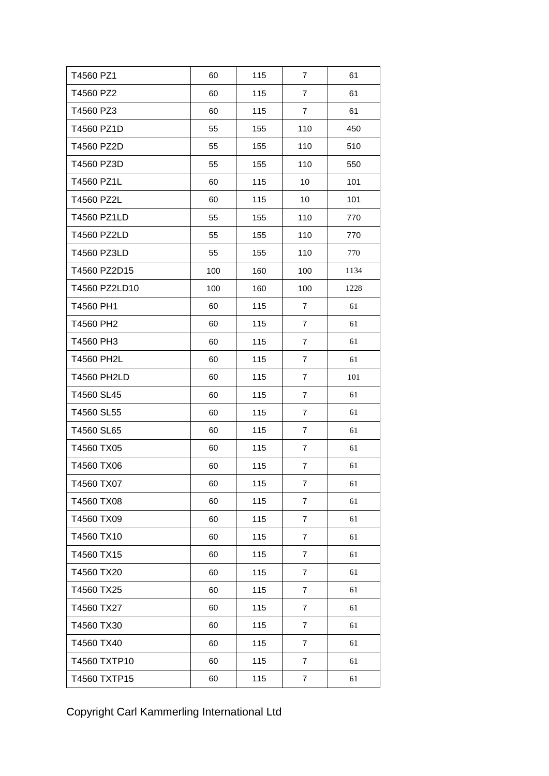| T4560 PZ1          | 60  | 115 | $\overline{7}$ | 61   |
|--------------------|-----|-----|----------------|------|
| T4560 PZ2          | 60  | 115 | $\overline{7}$ | 61   |
| T4560 PZ3          | 60  | 115 | $\overline{7}$ | 61   |
| T4560 PZ1D         | 55  | 155 | 110            | 450  |
| T4560 PZ2D         | 55  | 155 | 110            | 510  |
| T4560 PZ3D         | 55  | 155 | 110            | 550  |
| T4560 PZ1L         | 60  | 115 | 10             | 101  |
| T4560 PZ2L         | 60  | 115 | 10             | 101  |
| T4560 PZ1LD        | 55  | 155 | 110            | 770  |
| T4560 PZ2LD        | 55  | 155 | 110            | 770  |
| T4560 PZ3LD        | 55  | 155 | 110            | 770  |
| T4560 PZ2D15       | 100 | 160 | 100            | 1134 |
| T4560 PZ2LD10      | 100 | 160 | 100            | 1228 |
| T4560 PH1          | 60  | 115 | $\overline{7}$ | 61   |
| T4560 PH2          | 60  | 115 | $\overline{7}$ | 61   |
| T4560 PH3          | 60  | 115 | $\overline{7}$ | 61   |
| <b>T4560 PH2L</b>  | 60  | 115 | $\overline{7}$ | 61   |
| <b>T4560 PH2LD</b> | 60  | 115 | $\overline{7}$ | 101  |
| T4560 SL45         | 60  | 115 | $\overline{7}$ | 61   |
| T4560 SL55         | 60  | 115 | $\overline{7}$ | 61   |
| T4560 SL65         | 60  | 115 | 7              | 61   |
| T4560 TX05         | 60  | 115 | $\overline{7}$ | 61   |
| T4560 TX06         | 60  | 115 | $\overline{7}$ | 61   |
| T4560 TX07         | 60  | 115 | $\overline{7}$ | 61   |
| T4560 TX08         | 60  | 115 | $\overline{7}$ | 61   |
| T4560 TX09         | 60  | 115 | 7              | 61   |
| T4560 TX10         | 60  | 115 | $\overline{7}$ | 61   |
| T4560 TX15         | 60  | 115 | $\overline{7}$ | 61   |
| T4560 TX20         | 60  | 115 | $\overline{7}$ | 61   |
| T4560 TX25         | 60  | 115 | $\overline{7}$ | 61   |
| T4560 TX27         | 60  | 115 | $\overline{7}$ | 61   |
| T4560 TX30         | 60  | 115 | $\overline{7}$ | 61   |
| T4560 TX40         | 60  | 115 | $\overline{7}$ | 61   |
| T4560 TXTP10       | 60  | 115 | $\overline{7}$ | 61   |
| T4560 TXTP15       | 60  | 115 | $\overline{7}$ | 61   |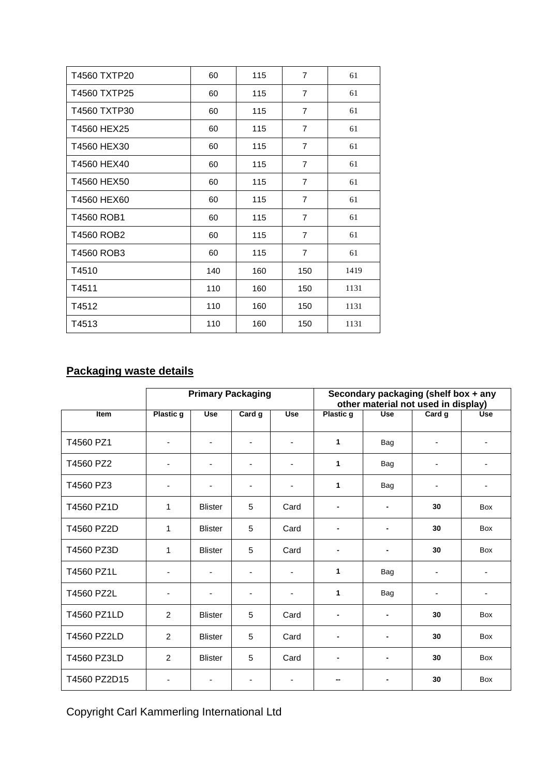| T4560 TXTP20 | 60  | 115 | $\overline{7}$ | 61   |
|--------------|-----|-----|----------------|------|
| T4560 TXTP25 | 60  | 115 | $\overline{7}$ | 61   |
| T4560 TXTP30 | 60  | 115 | $\overline{7}$ | 61   |
| T4560 HEX25  | 60  | 115 | $\overline{7}$ | 61   |
| T4560 HEX30  | 60  | 115 | $\overline{7}$ | 61   |
| T4560 HEX40  | 60  | 115 | $\overline{7}$ | 61   |
| T4560 HEX50  | 60  | 115 | $\overline{7}$ | 61   |
| T4560 HEX60  | 60  | 115 | $\overline{7}$ | 61   |
| T4560 ROB1   | 60  | 115 | $\overline{7}$ | 61   |
| T4560 ROB2   | 60  | 115 | $\overline{7}$ | 61   |
| T4560 ROB3   | 60  | 115 | $\overline{7}$ | 61   |
| T4510        | 140 | 160 | 150            | 1419 |
| T4511        | 110 | 160 | 150            | 1131 |
| T4512        | 110 | 160 | 150            | 1131 |
| T4513        | 110 | 160 | 150            | 1131 |

## **Packaging waste details**

|              | <b>Primary Packaging</b> |                          |                          | Secondary packaging (shelf box + any<br>other material not used in display) |                |            |                          |                           |
|--------------|--------------------------|--------------------------|--------------------------|-----------------------------------------------------------------------------|----------------|------------|--------------------------|---------------------------|
| <b>Item</b>  | <b>Plastic g</b>         | <b>Use</b>               | Card g                   | <b>Use</b>                                                                  | Plastic g      | <b>Use</b> | Card g                   | $\overline{\mathsf{Use}}$ |
| T4560 PZ1    | ٠                        | ٠                        | $\overline{\phantom{a}}$ | -                                                                           | 1              | Bag        | $\overline{\phantom{a}}$ | $\overline{\phantom{a}}$  |
| T4560 PZ2    |                          | $\blacksquare$           | -                        | $\blacksquare$                                                              | 1              | Bag        |                          |                           |
| T4560 PZ3    |                          | $\overline{\phantom{a}}$ | $\overline{\phantom{a}}$ | ٠                                                                           | $\mathbf{1}$   | Bag        | $\overline{\phantom{a}}$ | $\overline{\phantom{a}}$  |
| T4560 PZ1D   | 1                        | <b>Blister</b>           | 5                        | Card                                                                        | -              | ٠          | 30                       | <b>Box</b>                |
| T4560 PZ2D   | 1                        | <b>Blister</b>           | 5                        | Card                                                                        |                |            | 30                       | Box                       |
| T4560 PZ3D   | 1                        | <b>Blister</b>           | 5                        | Card                                                                        |                |            | 30                       | Box                       |
| T4560 PZ1L   |                          | $\blacksquare$           | $\overline{\phantom{a}}$ | $\overline{\phantom{a}}$                                                    | 1              | Bag        | $\overline{\phantom{a}}$ | $\blacksquare$            |
| T4560 PZ2L   |                          | $\blacksquare$           | $\overline{\phantom{0}}$ | ٠                                                                           | 1              | Bag        | $\overline{\phantom{0}}$ | ٠                         |
| T4560 PZ1LD  | $\overline{2}$           | <b>Blister</b>           | 5                        | Card                                                                        |                |            | 30                       | Box                       |
| T4560 PZ2LD  | $\overline{c}$           | <b>Blister</b>           | 5                        | Card                                                                        | $\blacksquare$ | ٠          | 30                       | <b>Box</b>                |
| T4560 PZ3LD  | 2                        | <b>Blister</b>           | 5                        | Card                                                                        |                |            | 30                       | <b>Box</b>                |
| T4560 PZ2D15 |                          |                          | $\overline{\phantom{0}}$ |                                                                             |                |            | 30                       | <b>Box</b>                |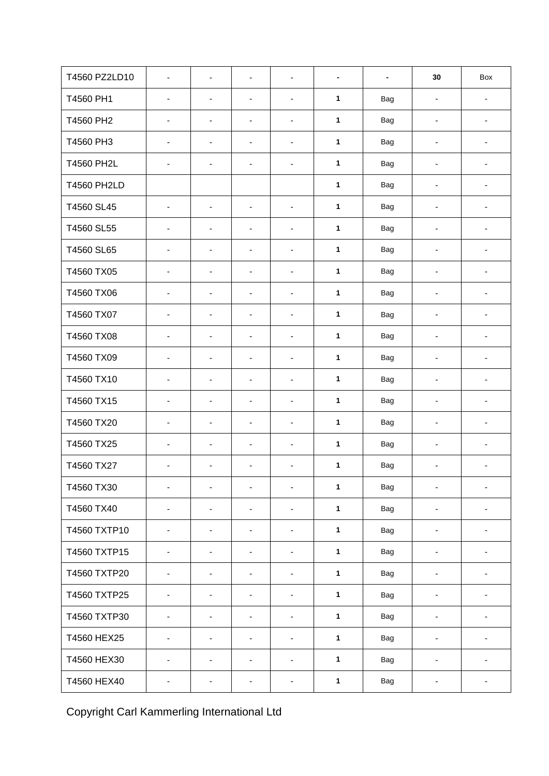| T4560 PZ2LD10      | $\overline{\phantom{a}}$     | $\overline{\phantom{m}}$     | $\overline{\phantom{0}}$     | $\overline{\phantom{a}}$ |              | $\qquad \qquad \blacksquare$ | 30                           | Box                          |
|--------------------|------------------------------|------------------------------|------------------------------|--------------------------|--------------|------------------------------|------------------------------|------------------------------|
| T4560 PH1          | $\blacksquare$               | $\blacksquare$               | $\blacksquare$               | $\overline{\phantom{a}}$ | $\mathbf{1}$ | <b>Bag</b>                   | $\overline{\phantom{a}}$     | $\overline{\phantom{a}}$     |
| T4560 PH2          | $\overline{\phantom{a}}$     | $\blacksquare$               | $\overline{\phantom{a}}$     | $\overline{\phantom{a}}$ | $\mathbf{1}$ | Bag                          | $\qquad \qquad \blacksquare$ | $\overline{\phantom{a}}$     |
| T4560 PH3          | $\overline{\phantom{a}}$     | $\qquad \qquad \blacksquare$ | $\overline{\phantom{a}}$     | $\overline{\phantom{a}}$ | $\mathbf{1}$ | <b>Bag</b>                   | $\qquad \qquad \blacksquare$ | $\overline{\phantom{a}}$     |
| <b>T4560 PH2L</b>  | $\overline{\phantom{a}}$     | $\blacksquare$               | $\overline{\phantom{a}}$     | $\overline{\phantom{a}}$ | $\mathbf{1}$ | <b>Bag</b>                   | $\qquad \qquad \blacksquare$ | $\overline{\phantom{a}}$     |
| <b>T4560 PH2LD</b> |                              |                              |                              |                          | $\mathbf{1}$ | <b>Bag</b>                   | $\qquad \qquad \blacksquare$ | $\overline{\phantom{a}}$     |
| T4560 SL45         | $\overline{\phantom{a}}$     | $\blacksquare$               | $\overline{\phantom{a}}$     | $\blacksquare$           | $\mathbf{1}$ | <b>Bag</b>                   | $\qquad \qquad \blacksquare$ | $\overline{\phantom{a}}$     |
| T4560 SL55         | $\overline{\phantom{a}}$     | $\qquad \qquad \blacksquare$ | $\overline{\phantom{a}}$     | $\overline{\phantom{a}}$ | $\mathbf{1}$ | <b>Bag</b>                   | $\overline{\phantom{a}}$     | ٠                            |
| T4560 SL65         | $\overline{\phantom{a}}$     | $\qquad \qquad \blacksquare$ | $\overline{\phantom{a}}$     | $\blacksquare$           | $\mathbf{1}$ | <b>Bag</b>                   | $\qquad \qquad \blacksquare$ | $\overline{\phantom{0}}$     |
| T4560 TX05         | $\overline{\phantom{a}}$     | $\overline{\phantom{m}}$     | $\overline{\phantom{a}}$     | $\overline{\phantom{a}}$ | $\mathbf{1}$ | <b>Bag</b>                   | $\qquad \qquad \blacksquare$ | $\overline{\phantom{a}}$     |
| T4560 TX06         | $\blacksquare$               | ä,                           | $\blacksquare$               | $\blacksquare$           | $\mathbf{1}$ | <b>Bag</b>                   | $\blacksquare$               | $\overline{\phantom{a}}$     |
| T4560 TX07         | $\overline{\phantom{a}}$     | $\overline{\phantom{a}}$     | $\overline{\phantom{a}}$     | $\overline{\phantom{a}}$ | $\mathbf{1}$ | <b>Bag</b>                   | $\qquad \qquad \blacksquare$ | $\overline{\phantom{a}}$     |
| T4560 TX08         | $\blacksquare$               | $\qquad \qquad \blacksquare$ | $\blacksquare$               | $\overline{\phantom{a}}$ | $\mathbf{1}$ | <b>Bag</b>                   | $\overline{\phantom{a}}$     | ٠                            |
| T4560 TX09         | $\overline{\phantom{a}}$     | $\overline{\phantom{0}}$     | $\overline{\phantom{a}}$     | $\overline{\phantom{a}}$ | $\mathbf 1$  | <b>Bag</b>                   | $\qquad \qquad \blacksquare$ | $\overline{\phantom{a}}$     |
| T4560 TX10         | $\overline{\phantom{a}}$     | $\blacksquare$               | $\overline{\phantom{a}}$     | $\overline{\phantom{a}}$ | $\mathbf{1}$ | <b>Bag</b>                   | $\qquad \qquad \blacksquare$ | $\blacksquare$               |
| T4560 TX15         | $\overline{\phantom{a}}$     | $\blacksquare$               | $\overline{\phantom{a}}$     | $\overline{\phantom{a}}$ | $\mathbf{1}$ | Bag                          | $\qquad \qquad \blacksquare$ | $\overline{\phantom{a}}$     |
| T4560 TX20         | $\overline{\phantom{a}}$     | $\blacksquare$               | $\overline{\phantom{a}}$     | $\overline{\phantom{a}}$ | $\mathbf{1}$ | <b>Bag</b>                   | $\qquad \qquad \blacksquare$ | $\overline{\phantom{a}}$     |
| T4560 TX25         | $\overline{\phantom{a}}$     | $\qquad \qquad \blacksquare$ | $\overline{\phantom{a}}$     | $\overline{\phantom{a}}$ | $\mathbf{1}$ | <b>Bag</b>                   | $\overline{\phantom{a}}$     | $\overline{\phantom{a}}$     |
| T4560 TX27         | $\qquad \qquad \blacksquare$ | $\overline{\phantom{a}}$     | $\overline{\phantom{a}}$     | $\blacksquare$           | $\mathbf{1}$ | <b>Bag</b>                   | $\qquad \qquad \blacksquare$ | $\overline{\phantom{a}}$     |
| T4560 TX30         | -                            | $\overline{\phantom{0}}$     | $\qquad \qquad \blacksquare$ | $\blacksquare$           | $\mathbf{1}$ | <b>Bag</b>                   | $\qquad \qquad \blacksquare$ | $\overline{\phantom{a}}$     |
| T4560 TX40         | $\overline{\phantom{a}}$     | ä,                           | $\frac{1}{2}$                | $\blacksquare$           | $\mathbf{1}$ | Bag                          | $\qquad \qquad \blacksquare$ | $\overline{\phantom{a}}$     |
| T4560 TXTP10       | $\overline{\phantom{0}}$     | $\overline{\phantom{0}}$     | $\overline{\phantom{a}}$     | ۰                        | $\mathbf{1}$ | Bag                          | $\qquad \qquad \blacksquare$ | $\overline{\phantom{a}}$     |
| T4560 TXTP15       | $\blacksquare$               | $\qquad \qquad \blacksquare$ | $\overline{\phantom{a}}$     | $\overline{\phantom{a}}$ | $\mathbf{1}$ | Bag                          | $\qquad \qquad \blacksquare$ | $\blacksquare$               |
| T4560 TXTP20       | ۰                            | $\qquad \qquad \blacksquare$ | $\overline{\phantom{a}}$     | ۰                        | $\mathbf{1}$ | Bag                          | $\qquad \qquad \blacksquare$ | $\overline{\phantom{a}}$     |
| T4560 TXTP25       | $\frac{1}{2}$                | $\blacksquare$               | $\blacksquare$               | $\overline{\phantom{a}}$ | $\mathbf{1}$ | Bag                          | $\qquad \qquad \blacksquare$ | $\qquad \qquad \blacksquare$ |
| T4560 TXTP30       | $\overline{\phantom{0}}$     | $\overline{\phantom{a}}$     | $\overline{\phantom{a}}$     | $\overline{\phantom{a}}$ | $\mathbf{1}$ | Bag                          | $\qquad \qquad \blacksquare$ | $\overline{\phantom{0}}$     |
| T4560 HEX25        | $\overline{\phantom{a}}$     | $\blacksquare$               | $\overline{\phantom{a}}$     | $\overline{\phantom{a}}$ | $\mathbf 1$  | Bag                          | $\qquad \qquad \blacksquare$ | $\overline{\phantom{0}}$     |
| T4560 HEX30        | $\overline{\phantom{a}}$     | $\overline{\phantom{a}}$     | $\overline{\phantom{a}}$     | ٠                        | $\mathbf{1}$ | Bag                          | $\qquad \qquad \blacksquare$ | -                            |
| T4560 HEX40        | $\overline{\phantom{a}}$     | $\overline{\phantom{0}}$     | $\overline{\phantom{0}}$     | ۰                        | $\mathbf 1$  | Bag                          | $\qquad \qquad \blacksquare$ | $\overline{\phantom{a}}$     |